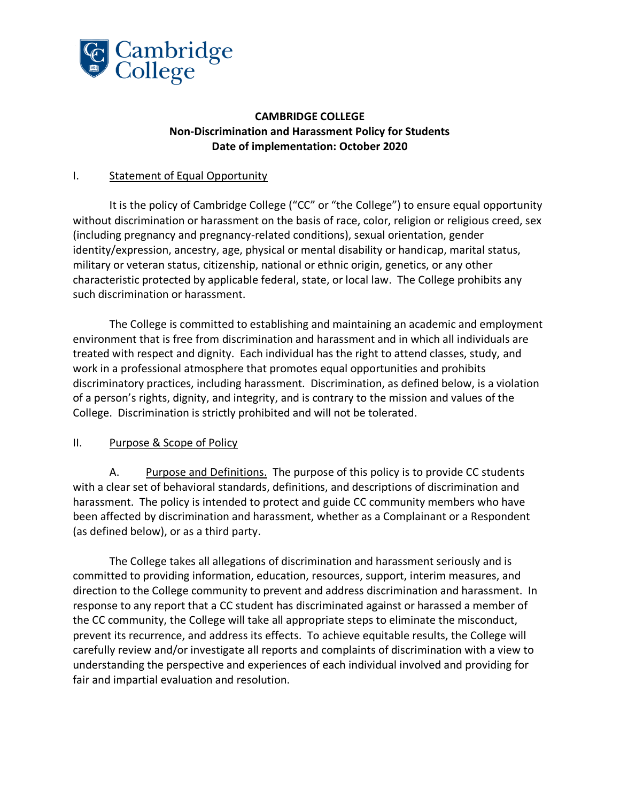

## **CAMBRIDGE COLLEGE Non-Discrimination and Harassment Policy for Students Date of implementation: October 2020**

## I. Statement of Equal Opportunity

It is the policy of Cambridge College ("CC" or "the College") to ensure equal opportunity without discrimination or harassment on the basis of race, color, religion or religious creed, sex (including pregnancy and pregnancy-related conditions), sexual orientation, gender identity/expression, ancestry, age, physical or mental disability or handicap, marital status, military or veteran status, citizenship, national or ethnic origin, genetics, or any other characteristic protected by applicable federal, state, or local law. The College prohibits any such discrimination or harassment.

The College is committed to establishing and maintaining an academic and employment environment that is free from discrimination and harassment and in which all individuals are treated with respect and dignity. Each individual has the right to attend classes, study, and work in a professional atmosphere that promotes equal opportunities and prohibits discriminatory practices, including harassment. Discrimination, as defined below, is a violation of a person's rights, dignity, and integrity, and is contrary to the mission and values of the College. Discrimination is strictly prohibited and will not be tolerated.

### II. Purpose & Scope of Policy

A. Purpose and Definitions. The purpose of this policy is to provide CC students with a clear set of behavioral standards, definitions, and descriptions of discrimination and harassment. The policy is intended to protect and guide CC community members who have been affected by discrimination and harassment, whether as a Complainant or a Respondent (as defined below), or as a third party.

The College takes all allegations of discrimination and harassment seriously and is committed to providing information, education, resources, support, interim measures, and direction to the College community to prevent and address discrimination and harassment. In response to any report that a CC student has discriminated against or harassed a member of the CC community, the College will take all appropriate steps to eliminate the misconduct, prevent its recurrence, and address its effects. To achieve equitable results, the College will carefully review and/or investigate all reports and complaints of discrimination with a view to understanding the perspective and experiences of each individual involved and providing for fair and impartial evaluation and resolution.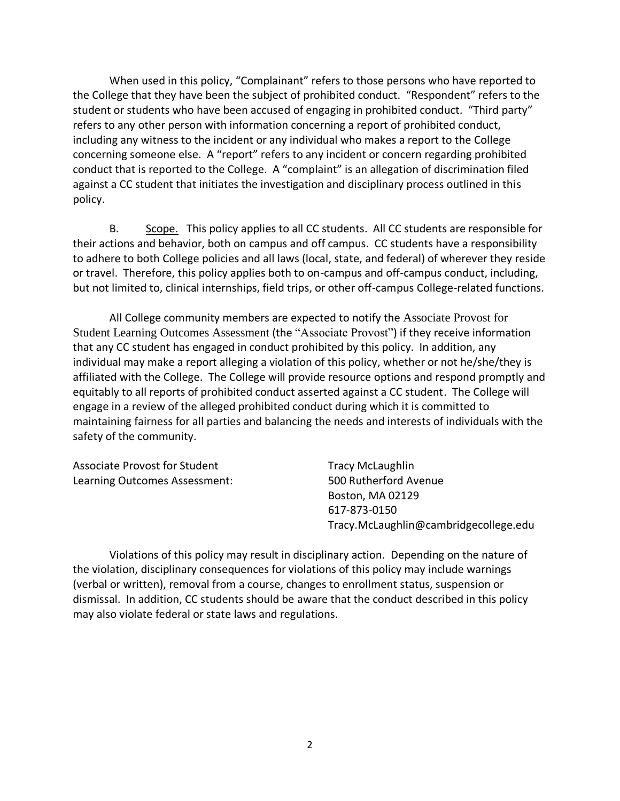When used in this policy, "Complainant" refers to those persons who have reported to the College that they have been the subject of prohibited conduct. "Respondent" refers to the student or students who have been accused of engaging in prohibited conduct. "Third party" refers to any other person with information concerning a report of prohibited conduct, including any witness to the incident or any individual who makes a report to the College concerning someone else. A "report" refers to any incident or concern regarding prohibited conduct that is reported to the College. A "complaint" is an allegation of discrimination filed against a CC student that initiates the investigation and disciplinary process outlined in this policy.

B. Scope.This policy applies to all CC students. All CC students are responsible for their actions and behavior, both on campus and off campus. CC students have a responsibility to adhere to both College policies and all laws (local, state, and federal) of wherever they reside or travel. Therefore, this policy applies both to on-campus and off-campus conduct, including, but not limited to, clinical internships, field trips, or other off-campus College-related functions.

All College community members are expected to notify the Associate Provost for Student Learning Outcomes Assessment (the "Associate Provost") if they receive information that any CC student has engaged in conduct prohibited by this policy. In addition, any individual may make a report alleging a violation of this policy, whether or not he/she/they is affiliated with the College. The College will provide resource options and respond promptly and equitably to all reports of prohibited conduct asserted against a CC student. The College will engage in a review of the alleged prohibited conduct during which it is committed to maintaining fairness for all parties and balancing the needs and interests of individuals with the safety of the community.

| Associate Provost for Student | <b>Tracy McLaughlin</b>               |
|-------------------------------|---------------------------------------|
| Learning Outcomes Assessment: | 500 Rutherford Avenue                 |
|                               | Boston, MA 02129                      |
|                               | 617-873-0150                          |
|                               | Tracy.McLaughlin@cambridgecollege.edu |

Violations of this policy may result in disciplinary action. Depending on the nature of the violation, disciplinary consequences for violations of this policy may include warnings (verbal or written), removal from a course, changes to enrollment status, suspension or dismissal. In addition, CC students should be aware that the conduct described in this policy may also violate federal or state laws and regulations.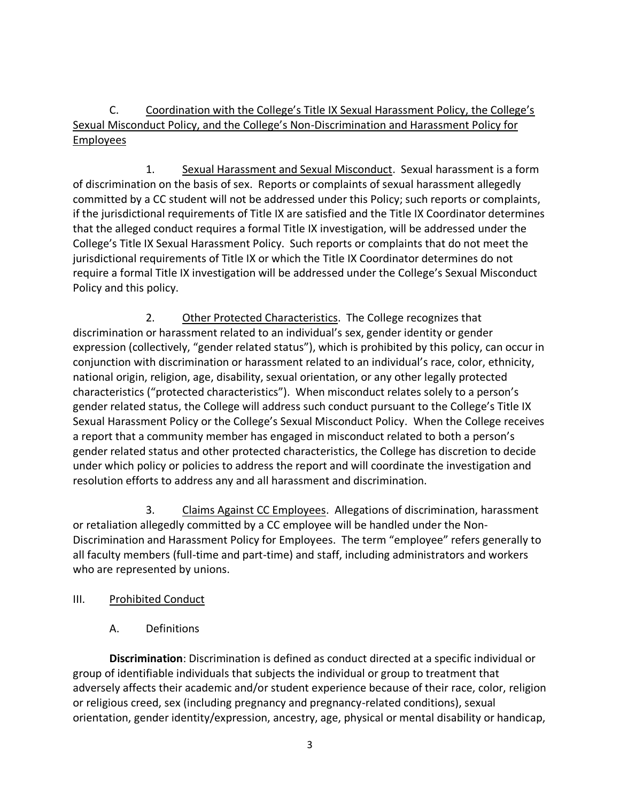C. Coordination with the College's Title IX Sexual Harassment Policy, the College's Sexual Misconduct Policy, and the College's Non-Discrimination and Harassment Policy for Employees

1. Sexual Harassment and Sexual Misconduct. Sexual harassment is a form of discrimination on the basis of sex. Reports or complaints of sexual harassment allegedly committed by a CC student will not be addressed under this Policy; such reports or complaints, if the jurisdictional requirements of Title IX are satisfied and the Title IX Coordinator determines that the alleged conduct requires a formal Title IX investigation, will be addressed under the College's Title IX Sexual Harassment Policy. Such reports or complaints that do not meet the jurisdictional requirements of Title IX or which the Title IX Coordinator determines do not require a formal Title IX investigation will be addressed under the College's Sexual Misconduct Policy and this policy.

2. Other Protected Characteristics. The College recognizes that discrimination or harassment related to an individual's sex, gender identity or gender expression (collectively, "gender related status"), which is prohibited by this policy, can occur in conjunction with discrimination or harassment related to an individual's race, color, ethnicity, national origin, religion, age, disability, sexual orientation, or any other legally protected characteristics ("protected characteristics"). When misconduct relates solely to a person's gender related status, the College will address such conduct pursuant to the College's Title IX Sexual Harassment Policy or the College's Sexual Misconduct Policy. When the College receives a report that a community member has engaged in misconduct related to both a person's gender related status and other protected characteristics, the College has discretion to decide under which policy or policies to address the report and will coordinate the investigation and resolution efforts to address any and all harassment and discrimination.

3. Claims Against CC Employees.Allegations of discrimination, harassment or retaliation allegedly committed by a CC employee will be handled under the Non-Discrimination and Harassment Policy for Employees. The term "employee" refers generally to all faculty members (full-time and part-time) and staff, including administrators and workers who are represented by unions.

- III. Prohibited Conduct
	- A. Definitions

**Discrimination**: Discrimination is defined as conduct directed at a specific individual or group of identifiable individuals that subjects the individual or group to treatment that adversely affects their academic and/or student experience because of their race, color, religion or religious creed, sex (including pregnancy and pregnancy-related conditions), sexual orientation, gender identity/expression, ancestry, age, physical or mental disability or handicap,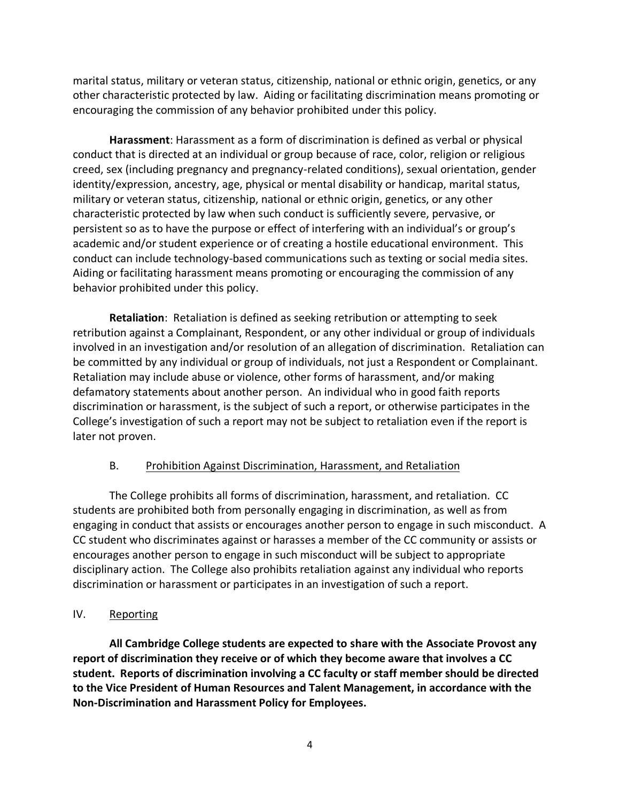marital status, military or veteran status, citizenship, national or ethnic origin, genetics, or any other characteristic protected by law. Aiding or facilitating discrimination means promoting or encouraging the commission of any behavior prohibited under this policy.

**Harassment**: Harassment as a form of discrimination is defined as verbal or physical conduct that is directed at an individual or group because of race, color, religion or religious creed, sex (including pregnancy and pregnancy-related conditions), sexual orientation, gender identity/expression, ancestry, age, physical or mental disability or handicap, marital status, military or veteran status, citizenship, national or ethnic origin, genetics, or any other characteristic protected by law when such conduct is sufficiently severe, pervasive, or persistent so as to have the purpose or effect of interfering with an individual's or group's academic and/or student experience or of creating a hostile educational environment. This conduct can include technology-based communications such as texting or social media sites. Aiding or facilitating harassment means promoting or encouraging the commission of any behavior prohibited under this policy.

**Retaliation**: Retaliation is defined as seeking retribution or attempting to seek retribution against a Complainant, Respondent, or any other individual or group of individuals involved in an investigation and/or resolution of an allegation of discrimination. Retaliation can be committed by any individual or group of individuals, not just a Respondent or Complainant. Retaliation may include abuse or violence, other forms of harassment, and/or making defamatory statements about another person. An individual who in good faith reports discrimination or harassment, is the subject of such a report, or otherwise participates in the College's investigation of such a report may not be subject to retaliation even if the report is later not proven.

## B. Prohibition Against Discrimination, Harassment, and Retaliation

The College prohibits all forms of discrimination, harassment, and retaliation. CC students are prohibited both from personally engaging in discrimination, as well as from engaging in conduct that assists or encourages another person to engage in such misconduct. A CC student who discriminates against or harasses a member of the CC community or assists or encourages another person to engage in such misconduct will be subject to appropriate disciplinary action. The College also prohibits retaliation against any individual who reports discrimination or harassment or participates in an investigation of such a report.

## IV. Reporting

**All Cambridge College students are expected to share with the Associate Provost any report of discrimination they receive or of which they become aware that involves a CC student. Reports of discrimination involving a CC faculty or staff member should be directed to the Vice President of Human Resources and Talent Management, in accordance with the Non-Discrimination and Harassment Policy for Employees.**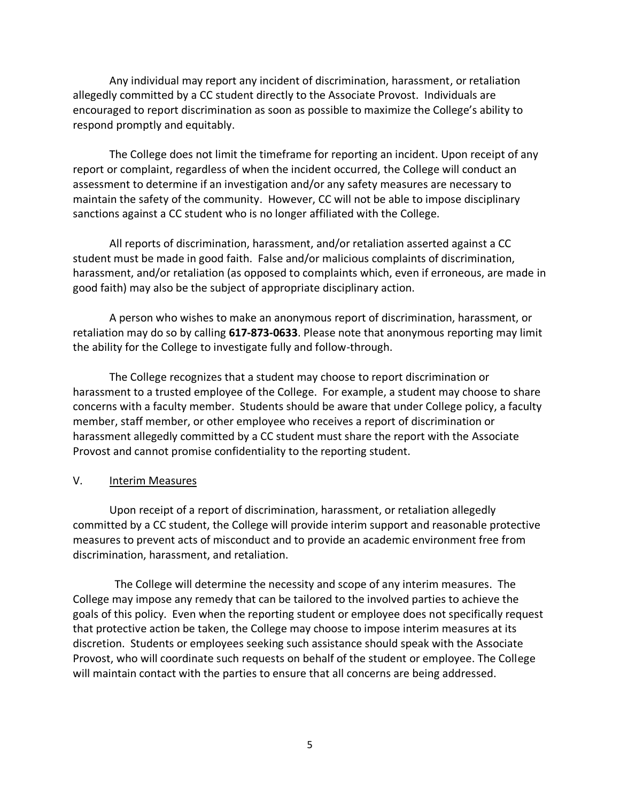Any individual may report any incident of discrimination, harassment, or retaliation allegedly committed by a CC student directly to the Associate Provost.Individuals are encouraged to report discrimination as soon as possible to maximize the College's ability to respond promptly and equitably.

The College does not limit the timeframe for reporting an incident. Upon receipt of any report or complaint, regardless of when the incident occurred, the College will conduct an assessment to determine if an investigation and/or any safety measures are necessary to maintain the safety of the community. However, CC will not be able to impose disciplinary sanctions against a CC student who is no longer affiliated with the College.

All reports of discrimination, harassment, and/or retaliation asserted against a CC student must be made in good faith. False and/or malicious complaints of discrimination, harassment, and/or retaliation (as opposed to complaints which, even if erroneous, are made in good faith) may also be the subject of appropriate disciplinary action.

A person who wishes to make an anonymous report of discrimination, harassment, or retaliation may do so by calling **617-873-0633**. Please note that anonymous reporting may limit the ability for the College to investigate fully and follow-through.

The College recognizes that a student may choose to report discrimination or harassment to a trusted employee of the College. For example, a student may choose to share concerns with a faculty member. Students should be aware that under College policy, a faculty member, staff member, or other employee who receives a report of discrimination or harassment allegedly committed by a CC student must share the report with the Associate Provost and cannot promise confidentiality to the reporting student.

#### V. Interim Measures

Upon receipt of a report of discrimination, harassment, or retaliation allegedly committed by a CC student, the College will provide interim support and reasonable protective measures to prevent acts of misconduct and to provide an academic environment free from discrimination, harassment, and retaliation.

 The College will determine the necessity and scope of any interim measures. The College may impose any remedy that can be tailored to the involved parties to achieve the goals of this policy. Even when the reporting student or employee does not specifically request that protective action be taken, the College may choose to impose interim measures at its discretion. Students or employees seeking such assistance should speak with the Associate Provost, who will coordinate such requests on behalf of the student or employee. The College will maintain contact with the parties to ensure that all concerns are being addressed.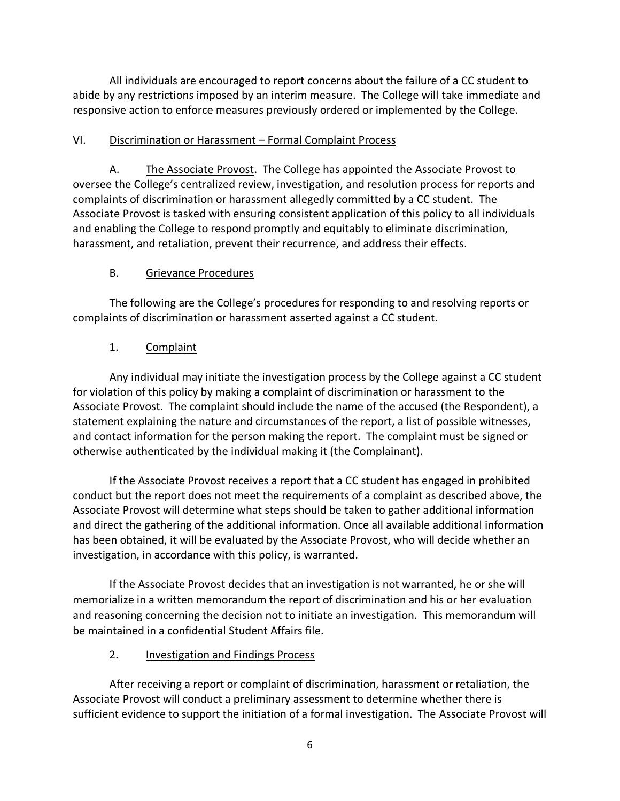All individuals are encouraged to report concerns about the failure of a CC student to abide by any restrictions imposed by an interim measure. The College will take immediate and responsive action to enforce measures previously ordered or implemented by the College.

## VI. Discrimination or Harassment – Formal Complaint Process

A. The Associate Provost. The College has appointed the Associate Provost to oversee the College's centralized review, investigation, and resolution process for reports and complaints of discrimination or harassment allegedly committed by a CC student. The Associate Provost is tasked with ensuring consistent application of this policy to all individuals and enabling the College to respond promptly and equitably to eliminate discrimination, harassment, and retaliation, prevent their recurrence, and address their effects.

# B. Grievance Procedures

The following are the College's procedures for responding to and resolving reports or complaints of discrimination or harassment asserted against a CC student.

# 1. Complaint

Any individual may initiate the investigation process by the College against a CC student for violation of this policy by making a complaint of discrimination or harassment to the Associate Provost. The complaint should include the name of the accused (the Respondent), a statement explaining the nature and circumstances of the report, a list of possible witnesses, and contact information for the person making the report. The complaint must be signed or otherwise authenticated by the individual making it (the Complainant).

If the Associate Provost receives a report that a CC student has engaged in prohibited conduct but the report does not meet the requirements of a complaint as described above, the Associate Provost will determine what steps should be taken to gather additional information and direct the gathering of the additional information. Once all available additional information has been obtained, it will be evaluated by the Associate Provost, who will decide whether an investigation, in accordance with this policy, is warranted.

If the Associate Provost decides that an investigation is not warranted, he or she will memorialize in a written memorandum the report of discrimination and his or her evaluation and reasoning concerning the decision not to initiate an investigation. This memorandum will be maintained in a confidential Student Affairs file.

## 2. Investigation and Findings Process

After receiving a report or complaint of discrimination, harassment or retaliation, the Associate Provost will conduct a preliminary assessment to determine whether there is sufficient evidence to support the initiation of a formal investigation. The Associate Provost will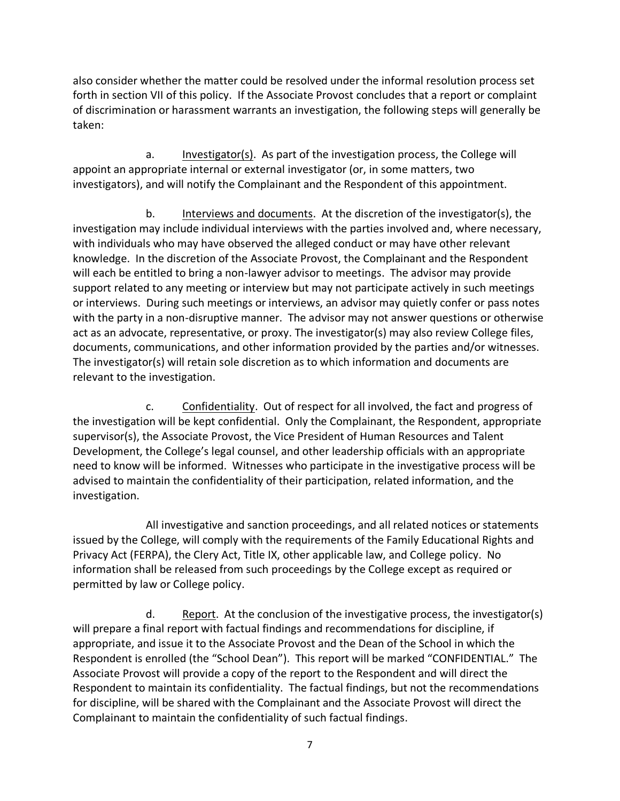also consider whether the matter could be resolved under the informal resolution process set forth in section VII of this policy. If the Associate Provost concludes that a report or complaint of discrimination or harassment warrants an investigation, the following steps will generally be taken:

a. Investigator(s). As part of the investigation process, the College will appoint an appropriate internal or external investigator (or, in some matters, two investigators), and will notify the Complainant and the Respondent of this appointment.

b. Interviews and documents. At the discretion of the investigator(s), the investigation may include individual interviews with the parties involved and, where necessary, with individuals who may have observed the alleged conduct or may have other relevant knowledge. In the discretion of the Associate Provost, the Complainant and the Respondent will each be entitled to bring a non-lawyer advisor to meetings. The advisor may provide support related to any meeting or interview but may not participate actively in such meetings or interviews. During such meetings or interviews, an advisor may quietly confer or pass notes with the party in a non-disruptive manner. The advisor may not answer questions or otherwise act as an advocate, representative, or proxy. The investigator(s) may also review College files, documents, communications, and other information provided by the parties and/or witnesses. The investigator(s) will retain sole discretion as to which information and documents are relevant to the investigation.

c. Confidentiality. Out of respect for all involved, the fact and progress of the investigation will be kept confidential. Only the Complainant, the Respondent, appropriate supervisor(s), the Associate Provost, the Vice President of Human Resources and Talent Development, the College's legal counsel, and other leadership officials with an appropriate need to know will be informed. Witnesses who participate in the investigative process will be advised to maintain the confidentiality of their participation, related information, and the investigation.

All investigative and sanction proceedings, and all related notices or statements issued by the College, will comply with the requirements of the Family Educational Rights and Privacy Act (FERPA), the Clery Act, Title IX, other applicable law, and College policy. No information shall be released from such proceedings by the College except as required or permitted by law or College policy.

d. Report. At the conclusion of the investigative process, the investigator(s) will prepare a final report with factual findings and recommendations for discipline, if appropriate, and issue it to the Associate Provost and the Dean of the School in which the Respondent is enrolled (the "School Dean"). This report will be marked "CONFIDENTIAL." The Associate Provost will provide a copy of the report to the Respondent and will direct the Respondent to maintain its confidentiality. The factual findings, but not the recommendations for discipline, will be shared with the Complainant and the Associate Provost will direct the Complainant to maintain the confidentiality of such factual findings.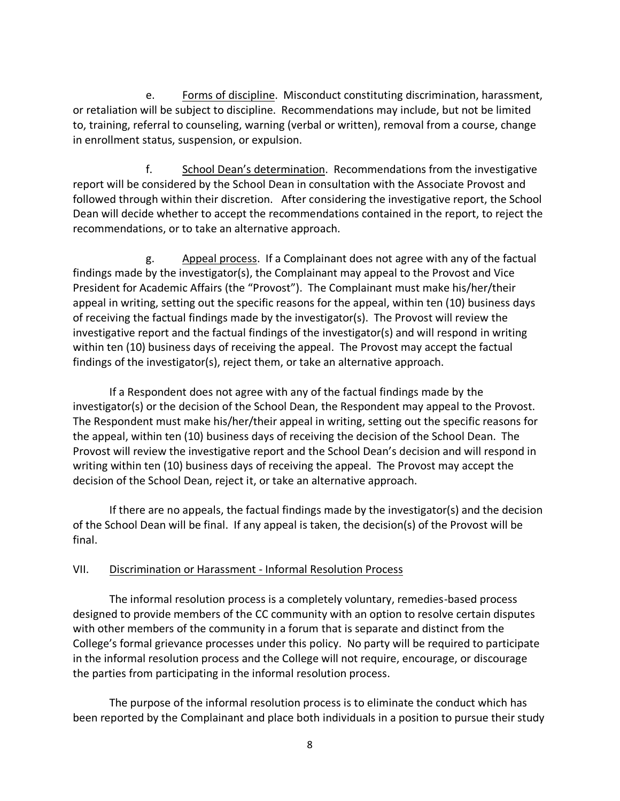e. Forms of discipline. Misconduct constituting discrimination, harassment, or retaliation will be subject to discipline. Recommendations may include, but not be limited to, training, referral to counseling, warning (verbal or written), removal from a course, change in enrollment status, suspension, or expulsion.

f. School Dean's determination. Recommendations from the investigative report will be considered by the School Dean in consultation with the Associate Provost and followed through within their discretion. After considering the investigative report, the School Dean will decide whether to accept the recommendations contained in the report, to reject the recommendations, or to take an alternative approach.

g. Appeal process. If a Complainant does not agree with any of the factual findings made by the investigator(s), the Complainant may appeal to the Provost and Vice President for Academic Affairs (the "Provost"). The Complainant must make his/her/their appeal in writing, setting out the specific reasons for the appeal, within ten (10) business days of receiving the factual findings made by the investigator(s). The Provost will review the investigative report and the factual findings of the investigator(s) and will respond in writing within ten (10) business days of receiving the appeal. The Provost may accept the factual findings of the investigator(s), reject them, or take an alternative approach.

If a Respondent does not agree with any of the factual findings made by the investigator(s) or the decision of the School Dean, the Respondent may appeal to the Provost. The Respondent must make his/her/their appeal in writing, setting out the specific reasons for the appeal, within ten (10) business days of receiving the decision of the School Dean. The Provost will review the investigative report and the School Dean's decision and will respond in writing within ten (10) business days of receiving the appeal. The Provost may accept the decision of the School Dean, reject it, or take an alternative approach.

If there are no appeals, the factual findings made by the investigator(s) and the decision of the School Dean will be final. If any appeal is taken, the decision(s) of the Provost will be final.

### VII. Discrimination or Harassment - Informal Resolution Process

The informal resolution process is a completely voluntary, remedies-based process designed to provide members of the CC community with an option to resolve certain disputes with other members of the community in a forum that is separate and distinct from the College's formal grievance processes under this policy. No party will be required to participate in the informal resolution process and the College will not require, encourage, or discourage the parties from participating in the informal resolution process.

The purpose of the informal resolution process is to eliminate the conduct which has been reported by the Complainant and place both individuals in a position to pursue their study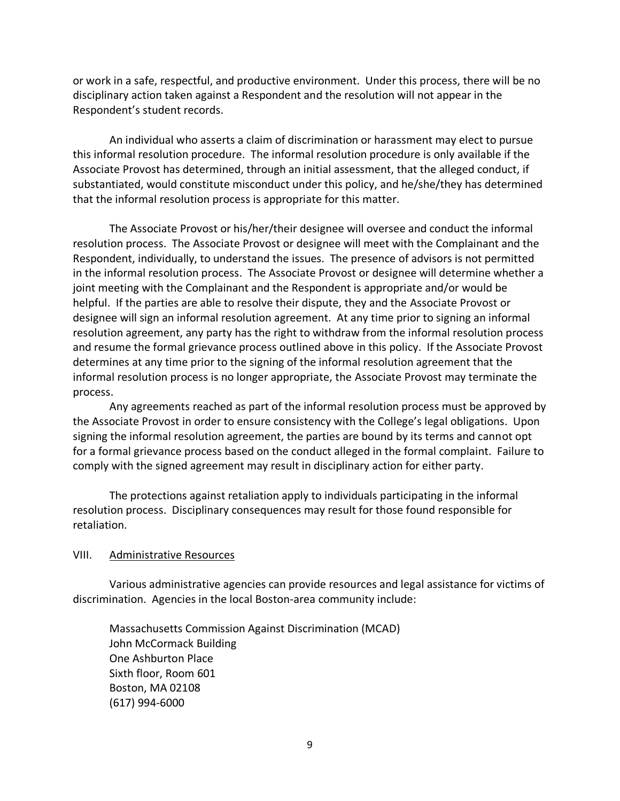or work in a safe, respectful, and productive environment. Under this process, there will be no disciplinary action taken against a Respondent and the resolution will not appear in the Respondent's student records.

An individual who asserts a claim of discrimination or harassment may elect to pursue this informal resolution procedure. The informal resolution procedure is only available if the Associate Provost has determined, through an initial assessment, that the alleged conduct, if substantiated, would constitute misconduct under this policy, and he/she/they has determined that the informal resolution process is appropriate for this matter.

The Associate Provost or his/her/their designee will oversee and conduct the informal resolution process. The Associate Provost or designee will meet with the Complainant and the Respondent, individually, to understand the issues. The presence of advisors is not permitted in the informal resolution process. The Associate Provost or designee will determine whether a joint meeting with the Complainant and the Respondent is appropriate and/or would be helpful. If the parties are able to resolve their dispute, they and the Associate Provost or designee will sign an informal resolution agreement. At any time prior to signing an informal resolution agreement, any party has the right to withdraw from the informal resolution process and resume the formal grievance process outlined above in this policy. If the Associate Provost determines at any time prior to the signing of the informal resolution agreement that the informal resolution process is no longer appropriate, the Associate Provost may terminate the process.

Any agreements reached as part of the informal resolution process must be approved by the Associate Provost in order to ensure consistency with the College's legal obligations. Upon signing the informal resolution agreement, the parties are bound by its terms and cannot opt for a formal grievance process based on the conduct alleged in the formal complaint. Failure to comply with the signed agreement may result in disciplinary action for either party.

The protections against retaliation apply to individuals participating in the informal resolution process. Disciplinary consequences may result for those found responsible for retaliation.

#### VIII. Administrative Resources

Various administrative agencies can provide resources and legal assistance for victims of discrimination. Agencies in the local Boston-area community include:

Massachusetts Commission Against Discrimination (MCAD) John McCormack Building One Ashburton Place Sixth floor, Room 601 Boston, MA 02108 (617) 994-6000